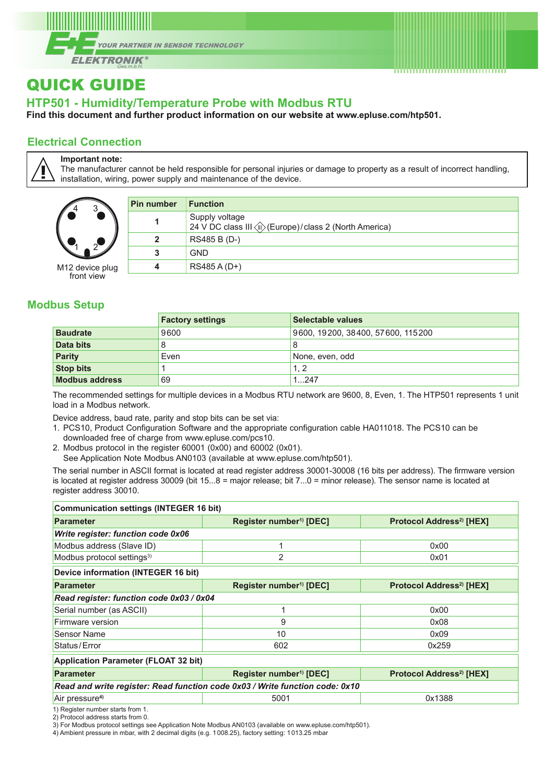



## **HTP501 - Humidity/Temperature Probe with Modbus RTU**

**Find this document and further product information on our website at [www.epluse.com/](https://www.epluse.com/htp501)htp501.**

### **Electrical Connection**

**Important note:**

The manufacturer cannot be held responsible for personal injuries or damage to property as a result of incorrect handling, installation, wiring, power supply and maintenance of the device.

| 4               |  |
|-----------------|--|
|                 |  |
| M12 device plug |  |

M12 device plug front view

| Pin number   | <b>Function</b> |
|--------------|-----------------|
|              | Supply voltage  |
| $\mathbf{2}$ | RS485 B (D-)    |
| 3            | <b>GND</b>      |
| 4            | RS485 A (D+)    |
|              |                 |

. . . . . . . . . . . . . . . .

#### **Modbus Setup**

|                       | <b>Factory settings</b> | Selectable values                 |
|-----------------------|-------------------------|-----------------------------------|
| <b>Baudrate</b>       | 9600                    | 9600, 19200, 38400, 57600, 115200 |
| Data bits             |                         | 8                                 |
| <b>Parity</b>         | Even                    | None, even, odd                   |
| <b>Stop bits</b>      |                         | 1.2                               |
| <b>Modbus address</b> | 69                      | 1247                              |

The recommended settings for multiple devices in a Modbus RTU network are 9600, 8, Even, 1. The HTP501 represents 1 unit load in a Modbus network.

Device address, baud rate, parity and stop bits can be set via:

- 1. PCS10, Product Configuration Software and the appropriate configuration cable HA011018. The PCS10 can be downloaded free of charge from [www.epluse.com/pcs10.](https://www.epluse.com/pcs10)
- 2. Modbus protocol in the register 60001 (0x00) and 60002 (0x01).
- See Application Note Modbus AN0103 (available at [www.epluse.com/h](https://www.epluse.com/htp501)tp501).

The serial number in ASCII format is located at read register address 30001-30008 (16 bits per address). The firmware version is located at register address 30009 (bit 15...8 = major release; bit 7...0 = minor release). The sensor name is located at register address 30010.

| Communication settings (INTEGER 16 bit)    |                                                                              |                                      |  |
|--------------------------------------------|------------------------------------------------------------------------------|--------------------------------------|--|
| <b>Parameter</b>                           | Register number <sup>1)</sup> [DEC]                                          | Protocol Address <sup>2)</sup> [HEX] |  |
| <b>Write register: function code 0x06</b>  |                                                                              |                                      |  |
| Modbus address (Slave ID)                  | 1                                                                            | 0x00                                 |  |
| Modbus protocol settings <sup>3)</sup>     | 2                                                                            | 0x01                                 |  |
| <b>Device information (INTEGER 16 bit)</b> |                                                                              |                                      |  |
| <b>Parameter</b>                           | Register number <sup>1)</sup> [DEC]                                          | Protocol Address <sup>2)</sup> [HEX] |  |
| Read register: function code 0x03 / 0x04   |                                                                              |                                      |  |
| Serial number (as ASCII)                   |                                                                              | 0x00                                 |  |
| Firmware version                           | 9                                                                            | 0x08                                 |  |
| <b>Sensor Name</b>                         | 10                                                                           | 0x09                                 |  |
| Status/Error                               | 602                                                                          | 0x259                                |  |
| Application Parameter (FLOAT 32 bit)       |                                                                              |                                      |  |
| <b>Parameter</b>                           | Register number <sup>1)</sup> [DEC]                                          | Protocol Address <sup>2)</sup> [HEX] |  |
|                                            | Read and write register: Read function code 0x03 / Write function code: 0x10 |                                      |  |
| Air pressure <sup>4)</sup>                 | 0x1388<br>5001                                                               |                                      |  |
| 1) Register number starts from 1           |                                                                              |                                      |  |

1) Register number starts from 1.

2) Protocol address starts from 0.

3) For Modbus protocol settings see Application Note Modbus AN0103 (available on [www.epluse.com/h](https://www.epluse.com/htp501)tp501).

4) Ambient pressure in mbar, with 2 decimal digits (e.g. 1008.25), factory setting: 1013.25 mbar